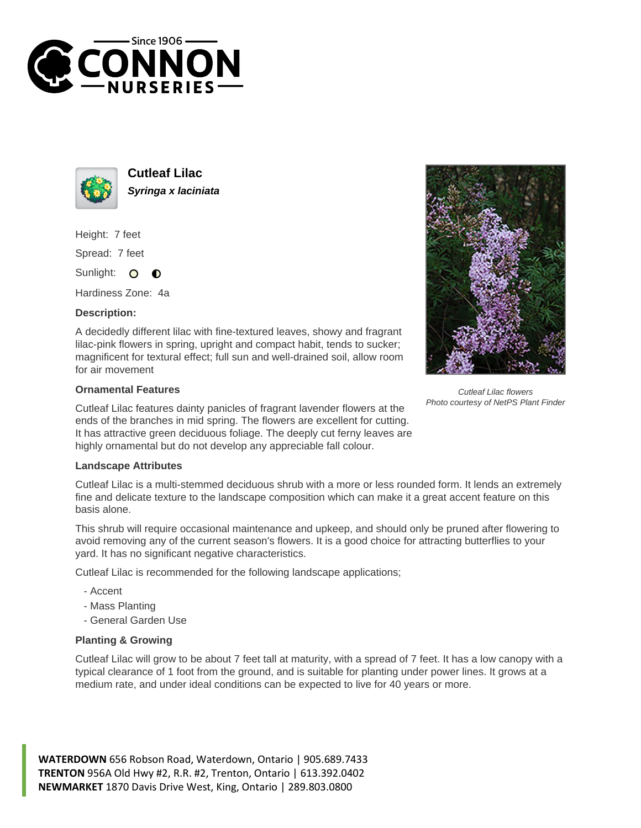



**Cutleaf Lilac Syringa x laciniata**

Height: 7 feet

Spread: 7 feet

Sunlight:  $\Omega$  $\bullet$ 

Hardiness Zone: 4a

## **Description:**

A decidedly different lilac with fine-textured leaves, showy and fragrant lilac-pink flowers in spring, upright and compact habit, tends to sucker; magnificent for textural effect; full sun and well-drained soil, allow room for air movement

## **Ornamental Features**

Cutleaf Lilac features dainty panicles of fragrant lavender flowers at the ends of the branches in mid spring. The flowers are excellent for cutting. It has attractive green deciduous foliage. The deeply cut ferny leaves are highly ornamental but do not develop any appreciable fall colour.

## **Landscape Attributes**

Cutleaf Lilac is a multi-stemmed deciduous shrub with a more or less rounded form. It lends an extremely fine and delicate texture to the landscape composition which can make it a great accent feature on this basis alone.

This shrub will require occasional maintenance and upkeep, and should only be pruned after flowering to avoid removing any of the current season's flowers. It is a good choice for attracting butterflies to your yard. It has no significant negative characteristics.

Cutleaf Lilac is recommended for the following landscape applications;

- Accent
- Mass Planting
- General Garden Use

## **Planting & Growing**

Cutleaf Lilac will grow to be about 7 feet tall at maturity, with a spread of 7 feet. It has a low canopy with a typical clearance of 1 foot from the ground, and is suitable for planting under power lines. It grows at a medium rate, and under ideal conditions can be expected to live for 40 years or more.

**WATERDOWN** 656 Robson Road, Waterdown, Ontario | 905.689.7433 **TRENTON** 956A Old Hwy #2, R.R. #2, Trenton, Ontario | 613.392.0402 **NEWMARKET** 1870 Davis Drive West, King, Ontario | 289.803.0800



Cutleaf Lilac flowers Photo courtesy of NetPS Plant Finder